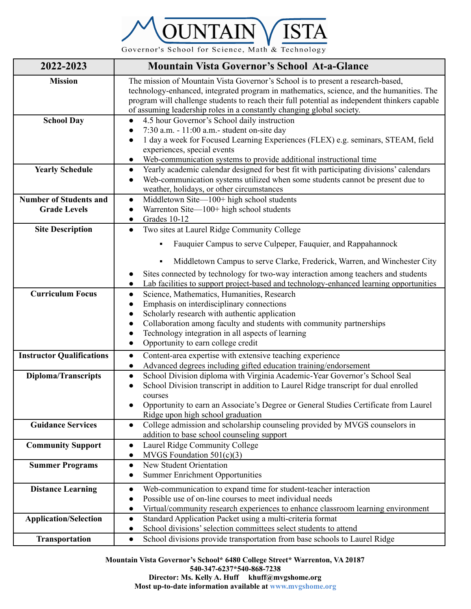

Governor's School for Science, Math & Technology

| 2022-2023                        | <b>Mountain Vista Governor's School At-a-Glance</b>                                                                                                                                                                                                                                                                                                   |  |  |  |
|----------------------------------|-------------------------------------------------------------------------------------------------------------------------------------------------------------------------------------------------------------------------------------------------------------------------------------------------------------------------------------------------------|--|--|--|
| <b>Mission</b>                   | The mission of Mountain Vista Governor's School is to present a research-based,<br>technology-enhanced, integrated program in mathematics, science, and the humanities. The<br>program will challenge students to reach their full potential as independent thinkers capable<br>of assuming leadership roles in a constantly changing global society. |  |  |  |
| <b>School Day</b>                | 4.5 hour Governor's School daily instruction                                                                                                                                                                                                                                                                                                          |  |  |  |
|                                  | 7:30 a.m. - 11:00 a.m. - student on-site day                                                                                                                                                                                                                                                                                                          |  |  |  |
|                                  | 1 day a week for Focused Learning Experiences (FLEX) e.g. seminars, STEAM, field<br>$\bullet$                                                                                                                                                                                                                                                         |  |  |  |
|                                  | experiences, special events                                                                                                                                                                                                                                                                                                                           |  |  |  |
| <b>Yearly Schedule</b>           | Web-communication systems to provide additional instructional time<br>$\bullet$<br>Yearly academic calendar designed for best fit with participating divisions' calendars<br>$\bullet$                                                                                                                                                                |  |  |  |
|                                  | Web-communication systems utilized when some students cannot be present due to<br>$\bullet$                                                                                                                                                                                                                                                           |  |  |  |
|                                  | weather, holidays, or other circumstances                                                                                                                                                                                                                                                                                                             |  |  |  |
| <b>Number of Students and</b>    | Middletown Site-100+ high school students<br>$\bullet$                                                                                                                                                                                                                                                                                                |  |  |  |
| <b>Grade Levels</b>              | Warrenton Site-100+ high school students<br>$\bullet$                                                                                                                                                                                                                                                                                                 |  |  |  |
|                                  | Grades 10-12<br>$\bullet$                                                                                                                                                                                                                                                                                                                             |  |  |  |
| <b>Site Description</b>          | Two sites at Laurel Ridge Community College<br>$\bullet$                                                                                                                                                                                                                                                                                              |  |  |  |
|                                  | Fauquier Campus to serve Culpeper, Fauquier, and Rappahannock                                                                                                                                                                                                                                                                                         |  |  |  |
|                                  | Middletown Campus to serve Clarke, Frederick, Warren, and Winchester City                                                                                                                                                                                                                                                                             |  |  |  |
|                                  | Sites connected by technology for two-way interaction among teachers and students<br>Lab facilities to support project-based and technology-enhanced learning opportunities                                                                                                                                                                           |  |  |  |
| <b>Curriculum Focus</b>          | Science, Mathematics, Humanities, Research<br>$\bullet$                                                                                                                                                                                                                                                                                               |  |  |  |
|                                  | Emphasis on interdisciplinary connections                                                                                                                                                                                                                                                                                                             |  |  |  |
|                                  | Scholarly research with authentic application                                                                                                                                                                                                                                                                                                         |  |  |  |
|                                  | Collaboration among faculty and students with community partnerships                                                                                                                                                                                                                                                                                  |  |  |  |
|                                  | Technology integration in all aspects of learning<br>$\bullet$                                                                                                                                                                                                                                                                                        |  |  |  |
|                                  | Opportunity to earn college credit<br>$\bullet$                                                                                                                                                                                                                                                                                                       |  |  |  |
| <b>Instructor Qualifications</b> | Content-area expertise with extensive teaching experience<br>$\bullet$                                                                                                                                                                                                                                                                                |  |  |  |
|                                  | Advanced degrees including gifted education training/endorsement<br>$\bullet$                                                                                                                                                                                                                                                                         |  |  |  |
| <b>Diploma/Transcripts</b>       | School Division diploma with Virginia Academic-Year Governor's School Seal<br>$\bullet$                                                                                                                                                                                                                                                               |  |  |  |
|                                  | School Division transcript in addition to Laurel Ridge transcript for dual enrolled<br>$\bullet$                                                                                                                                                                                                                                                      |  |  |  |
|                                  | courses                                                                                                                                                                                                                                                                                                                                               |  |  |  |
|                                  | Opportunity to earn an Associate's Degree or General Studies Certificate from Laurel<br>Ridge upon high school graduation                                                                                                                                                                                                                             |  |  |  |
| <b>Guidance Services</b>         | College admission and scholarship counseling provided by MVGS counselors in<br>$\bullet$                                                                                                                                                                                                                                                              |  |  |  |
|                                  | addition to base school counseling support                                                                                                                                                                                                                                                                                                            |  |  |  |
| <b>Community Support</b>         | Laurel Ridge Community College<br>$\bullet$                                                                                                                                                                                                                                                                                                           |  |  |  |
|                                  | MVGS Foundation $501(c)(3)$<br>$\bullet$                                                                                                                                                                                                                                                                                                              |  |  |  |
| <b>Summer Programs</b>           | New Student Orientation<br>$\bullet$                                                                                                                                                                                                                                                                                                                  |  |  |  |
|                                  | <b>Summer Enrichment Opportunities</b>                                                                                                                                                                                                                                                                                                                |  |  |  |
| <b>Distance Learning</b>         | Web-communication to expand time for student-teacher interaction<br>$\bullet$                                                                                                                                                                                                                                                                         |  |  |  |
|                                  | Possible use of on-line courses to meet individual needs                                                                                                                                                                                                                                                                                              |  |  |  |
|                                  | Virtual/community research experiences to enhance classroom learning environment<br>$\bullet$                                                                                                                                                                                                                                                         |  |  |  |
| <b>Application/Selection</b>     | Standard Application Packet using a multi-criteria format<br>$\bullet$                                                                                                                                                                                                                                                                                |  |  |  |
|                                  | School divisions' selection committees select students to attend<br>$\bullet$                                                                                                                                                                                                                                                                         |  |  |  |
| Transportation                   | School divisions provide transportation from base schools to Laurel Ridge<br>$\bullet$                                                                                                                                                                                                                                                                |  |  |  |

**Mountain Vista Governor's School\* 6480 College Street\* Warrenton, VA 20187 540-347-6237\*540-868-7238 Director: Ms. Kelly A. Huff khuff@mvgshome.org Most up-to-date information available at www.mvgshome.org**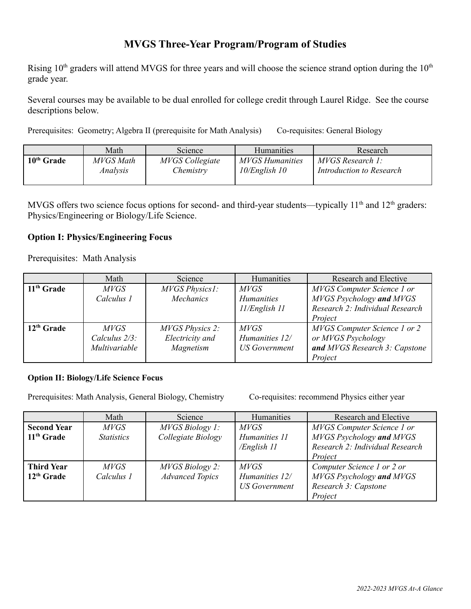## **MVGS Three-Year Program/Program of Studies**

Rising  $10<sup>th</sup>$  graders will attend MVGS for three years and will choose the science strand option during the  $10<sup>th</sup>$ grade year.

Several courses may be available to be dual enrolled for college credit through Laurel Ridge. See the course descriptions below.

Prerequisites: Geometry; Algebra II (prerequisite for Math Analysis) Co-requisites: General Biology

|                        | Math      | Science                | <b>Humanities</b>      | Research                 |
|------------------------|-----------|------------------------|------------------------|--------------------------|
| 10 <sup>th</sup> Grade | MVGS Math | <b>MVGS</b> Collegiate | <b>MVGS Humanities</b> | MVGS Research 1:         |
|                        | Analysis  | Chemistry              | $10$ /English 10       | Introduction to Research |

MVGS offers two science focus options for second- and third-year students—typically  $11<sup>th</sup>$  and  $12<sup>th</sup>$  graders: Physics/Engineering or Biology/Life Science.

## **Option I: Physics/Engineering Focus**

Prerequisites: Math Analysis

|              | Math          | Science                | Humanities           | Research and Elective               |
|--------------|---------------|------------------------|----------------------|-------------------------------------|
| $11th$ Grade | <i>MVGS</i>   | MVGS Physics1:         | <i>MVGS</i>          | MVGS Computer Science 1 or          |
|              | Calculus 1    | <b>Mechanics</b>       | <b>Humanities</b>    | MVGS Psychology and MVGS            |
|              |               |                        | $11$ /English $11$   | Research 2: Individual Research     |
|              |               |                        |                      | Project                             |
| $12th$ Grade | <i>MVGS</i>   | <b>MVGS Physics 2:</b> | <i>MVGS</i>          | <b>MVGS</b> Computer Science 1 or 2 |
|              | Calculus 2/3: | Electricity and        | Humanities 12/       | or MVGS Psychology                  |
|              | Multivariable | Magnetism              | <b>US</b> Government | and MVGS Research 3: Capstone       |
|              |               |                        |                      | Project                             |

## **Option II: Biology/Life Science Focus**

Prerequisites: Math Analysis, General Biology, Chemistry Co-requisites: recommend Physics either year

|                    | Math              | Science                | Humanities           | Research and Elective           |
|--------------------|-------------------|------------------------|----------------------|---------------------------------|
| <b>Second Year</b> | <i>MVGS</i>       | <i>MVGS Biology 1:</i> | <i>MVGS</i>          | MVGS Computer Science 1 or      |
| $11th$ Grade       | <b>Statistics</b> | Collegiate Biology     | Humanities 11        | MVGS Psychology and MVGS        |
|                    |                   |                        | /English 11          | Research 2: Individual Research |
|                    |                   |                        |                      | Project                         |
| <b>Third Year</b>  | <i>MVGS</i>       | <i>MVGS Biology 2:</i> | <i>MVGS</i>          | Computer Science 1 or 2 or      |
| $12th$ Grade       | Calculus 1        | <b>Advanced Topics</b> | Humanities 12/       | MVGS Psychology and MVGS        |
|                    |                   |                        | <b>US Government</b> | Research 3: Capstone            |
|                    |                   |                        |                      | Project                         |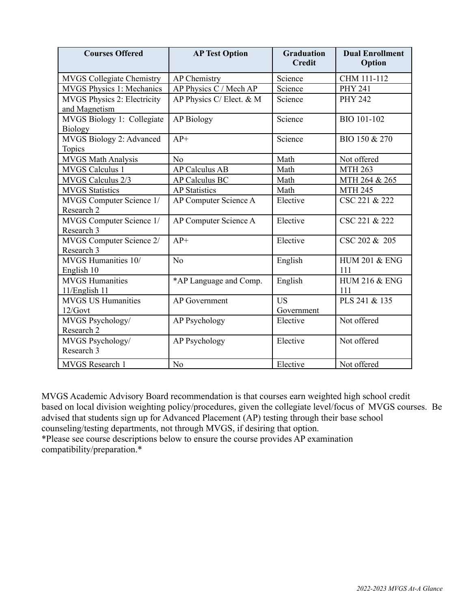| <b>Courses Offered</b>                       | <b>AP Test Option</b>    | <b>Graduation</b><br><b>Credit</b> | <b>Dual Enrollment</b><br>Option |
|----------------------------------------------|--------------------------|------------------------------------|----------------------------------|
| <b>MVGS Collegiate Chemistry</b>             | <b>AP</b> Chemistry      | Science                            | CHM 111-112                      |
| <b>MVGS Physics 1: Mechanics</b>             | AP Physics C / Mech AP   | Science                            | <b>PHY 241</b>                   |
| MVGS Physics 2: Electricity<br>and Magnetism | AP Physics C/ Elect. & M | Science                            | <b>PHY 242</b>                   |
| MVGS Biology 1: Collegiate<br><b>Biology</b> | <b>AP Biology</b>        | Science                            | BIO 101-102                      |
| MVGS Biology 2: Advanced<br><b>Topics</b>    | $AP+$                    | Science                            | BIO 150 & 270                    |
| <b>MVGS Math Analysis</b>                    | No                       | Math                               | Not offered                      |
| <b>MVGS Calculus 1</b>                       | <b>AP Calculus AB</b>    | Math                               | <b>MTH 263</b>                   |
| MVGS Calculus 2/3                            | <b>AP Calculus BC</b>    | Math                               | MTH 264 & 265                    |
| <b>MVGS Statistics</b>                       | <b>AP Statistics</b>     | Math                               | <b>MTH 245</b>                   |
| MVGS Computer Science 1/<br>Research 2       | AP Computer Science A    | Elective                           | CSC 221 & 222                    |
| MVGS Computer Science 1/<br>Research 3       | AP Computer Science A    | Elective                           | CSC 221 & 222                    |
| MVGS Computer Science 2/<br>Research 3       | $AP+$                    | Elective                           | CSC 202 & 205                    |
| MVGS Humanities 10/<br>English 10            | No                       | English                            | <b>HUM 201 &amp; ENG</b><br>111  |
| <b>MVGS Humanities</b><br>11/English 11      | *AP Language and Comp.   | English                            | <b>HUM 216 &amp; ENG</b><br>111  |
| <b>MVGS US Humanities</b><br>12/Govt         | <b>AP</b> Government     | US<br>Government                   | PLS 241 & 135                    |
| MVGS Psychology/<br>Research 2               | AP Psychology            | Elective                           | Not offered                      |
| MVGS Psychology/<br>Research 3               | <b>AP Psychology</b>     | Elective                           | Not offered                      |
| <b>MVGS</b> Research 1                       | N <sub>0</sub>           | Elective                           | Not offered                      |

MVGS Academic Advisory Board recommendation is that courses earn weighted high school credit based on local division weighting policy/procedures, given the collegiate level/focus of MVGS courses. Be advised that students sign up for Advanced Placement (AP) testing through their base school counseling/testing departments, not through MVGS, if desiring that option. \*Please see course descriptions below to ensure the course provides AP examination

compatibility/preparation.\*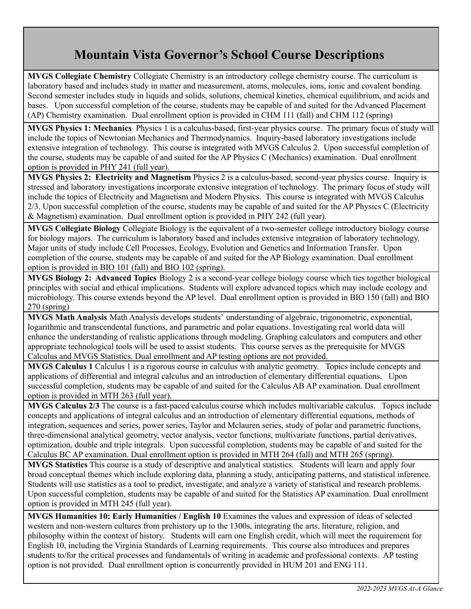## **Mountain Vista Governor's School Course Descriptions**

**MVGS Collegiate Chemistry** Collegiate Chemistry is an introductory college chemistry course. The curriculum is laboratory based and includes study in matter and measurement, atoms, molecules, ions, ionic and covalent bonding. Second semester includes study in liquids and solids, solutions, chemical kinetics, chemical equilibrium, and acids and bases. Upon successful completion of the course, students may be capable of and suited for the Advanced Placement (AP) Chemistry examination. Dual enrollment option is provided in CHM 111 (fall) and CHM 112 (spring)

**MVGS Physics 1: Mechanics** Physics 1 is a calculus-based, first-year physics course. The primary focus of study will include the topics of Newtonian Mechanics and Thermodynamics. Inquiry-based laboratory investigations include extensive integration of technology. This course is integrated with MVGS Calculus 2. Upon successful completion of the course, students may be capable of and suited for the AP Physics C (Mechanics) examination. Dual enrollment option is provided in PHY 241 (full year).

**MVGS Physics 2: Electricity and Magnetism** Physics 2 is a calculus-based, second-year physics course. Inquiry is stressed and laboratory investigations incorporate extensive integration of technology. The primary focus of study will include the topics of Electricity and Magnetism and Modern Physics. This course is integrated with MVGS Calculus 2/3. Upon successful completion of the course, students may be capable of and suited for the AP Physics C (Electricity & Magnetism) examination. Dual enrollment option is provided in PHY 242 (full year).

**MVGS Collegiate Biology** Collegiate Biology is the equivalent of a two-semester college introductory biology course for biology majors. The curriculum is laboratory based and includes extensive integration of laboratory technology. Major units of study include Cell Processes, Ecology, Evolution and Genetics and Information Transfer. Upon completion of the course, students may be capable of and suited for the AP Biology examination. Dual enrollment option is provided in BIO 101 (fall) and BIO 102 (spring).

**MVGS Biology 2: Advanced Topics** Biology 2 is a second-year college biology course which ties together biological principles with social and ethical implications. Students will explore advanced topics which may include ecology and microbiology. This course extends beyond the AP level. Dual enrollment option is provided in BIO 150 (fall) and BIO 270 (spring)

**MVGS Math Analysis** Math Analysis develops students' understanding of algebraic, trigonometric, exponential, logarithmic and transcendental functions, and parametric and polar equations. Investigating real world data will enhance the understanding of realistic applications through modeling. Graphing calculators and computers and other appropriate technological tools will be used to assist students. This course serves as the prerequisite for MVGS Calculus and MVGS Statistics. Dual enrollment and AP testing options are not provided.

**MVGS Calculus 1** Calculus 1 is a rigorous course in calculus with analytic geometry. Topics include concepts and applications of differential and integral calculus and an introduction of elementary differential equations. Upon successful completion, students may be capable of and suited for the Calculus AB AP examination. Dual enrollment option is provided in MTH 263 (full year).

**MVGS Calculus 2/3** The course is a fast-paced calculus course which includes multivariable calculus. Topics include concepts and applications of integral calculus and an introduction of elementary differential equations, methods of integration, sequences and series, power series, Taylor and Mclauren series, study of polar and parametric functions, three-dimensional analytical geometry, vector analysis, vector functions, multivariate functions, partial derivatives, optimization, double and triple integrals. Upon successful completion, students may be capable of and suited for the Calculus BC AP examination. Dual enrollment option is provided in MTH 264 (fall) and MTH 265 (spring).

**MVGS Statistics** This course is a study of descriptive and analytical statistics. Students will learn and apply four broad conceptual themes which include exploring data, planning a study, anticipating patterns, and statistical inference. Students will use statistics as a tool to predict, investigate, and analyze a variety of statistical and research problems. Upon successful completion, students may be capable of and suited for the Statistics AP examination. Dual enrollment option is provided in MTH 245 (full year).

**MVGS Humanities 10: Early Humanities / English 10** Examines the values and expression of ideas of selected western and non-western cultures from prehistory up to the 1300s, integrating the arts, literature, religion, and philosophy within the context of history. Students will earn one English credit, which will meet the requirement for English 10, including the Virginia Standards of Learning requirements. This course also introduces and prepares students to/for the critical processes and fundamentals of writing in academic and professional contexts. AP testing option is not provided. Dual enrollment option is concurrently provided in HUM 201 and ENG 111.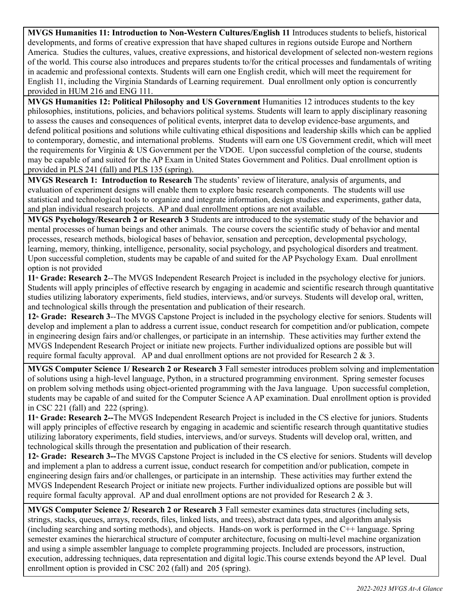**MVGS Humanities 11: Introduction to Non-Western Cultures/English 11** Introduces students to beliefs, historical developments, and forms of creative expression that have shaped cultures in regions outside Europe and Northern America. Studies the cultures, values, creative expressions, and historical development of selected non-western regions of the world. This course also introduces and prepares students to/for the critical processes and fundamentals of writing in academic and professional contexts. Students will earn one English credit, which will meet the requirement for English 11, including the Virginia Standards of Learning requirement. Dual enrollment only option is concurrently provided in HUM 216 and ENG 111.

**MVGS Humanities 12: Political Philosophy and US Government** Humanities 12 introduces students to the key philosophies, institutions, policies, and behaviors political systems. Students will learn to apply disciplinary reasoning to assess the causes and consequences of political events, interpret data to develop evidence-base arguments, and defend political positions and solutions while cultivating ethical dispositions and leadership skills which can be applied to contemporary, domestic, and international problems. Students will earn one US Government credit, which will meet the requirements for Virginia & US Government per the VDOE. Upon successful completion of the course, students may be capable of and suited for the AP Exam in United States Government and Politics. Dual enrollment option is provided in PLS 241 (fall) and PLS 135 (spring).

**MVGS Research 1: Introduction to Research** The students' review of literature, analysis of arguments, and evaluation of experiment designs will enable them to explore basic research components. The students will use statistical and technological tools to organize and integrate information, design studies and experiments, gather data, and plan individual research projects. AP and dual enrollment options are not available.

**MVGS Psychology/Research 2 or Research 3** Students are introduced to the systematic study of the behavior and mental processes of human beings and other animals. The course covers the scientific study of behavior and mental processes, research methods, biological bases of behavior, sensation and perception, developmental psychology, learning, memory, thinking, intelligence, personality, social psychology, and psychological disorders and treatment. Upon successful completion, students may be capable of and suited for the AP Psychology Exam. Dual enrollment option is not provided

**11<sup><sup>th</sup> Grade: Research 2--The MVGS Independent Research Project is included in the psychology elective for juniors.**</sup> Students will apply principles of effective research by engaging in academic and scientific research through quantitative studies utilizing laboratory experiments, field studies, interviews, and/or surveys. Students will develop oral, written, and technological skills through the presentation and publication of their research.

12<sup><sup>th</sup> Grade: Research 3--The MVGS Capstone Project is included in the psychology elective for seniors. Students will</sup> develop and implement a plan to address a current issue, conduct research for competition and/or publication, compete in engineering design fairs and/or challenges, or participate in an internship. These activities may further extend the MVGS Independent Research Project or initiate new projects. Further individualized options are possible but will require formal faculty approval. AP and dual enrollment options are not provided for Research 2 & 3.

**MVGS Computer Science 1/ Research 2 or Research 3** Fall semester introduces problem solving and implementation of solutions using a high-level language, Python, in a structured programming environment. Spring semester focuses on problem solving methods using object-oriented programming with the Java language. Upon successful completion, students may be capable of and suited for the Computer Science AAP examination. Dual enrollment option is provided in CSC 221 (fall) and 222 (spring).

**11th Grade: Research 2--**The MVGS Independent Research Project is included in the CS elective for juniors. Students will apply principles of effective research by engaging in academic and scientific research through quantitative studies utilizing laboratory experiments, field studies, interviews, and/or surveys. Students will develop oral, written, and technological skills through the presentation and publication of their research.

12<sup><sup>th</sup> Grade: Research 3--The MVGS Capstone Project is included in the CS elective for seniors. Students will develop</sup> and implement a plan to address a current issue, conduct research for competition and/or publication, compete in engineering design fairs and/or challenges, or participate in an internship. These activities may further extend the MVGS Independent Research Project or initiate new projects. Further individualized options are possible but will require formal faculty approval. AP and dual enrollment options are not provided for Research 2 & 3.

**MVGS Computer Science 2/ Research 2 or Research 3** Fall semester examines data structures (including sets, strings, stacks, queues, arrays, records, files, linked lists, and trees), abstract data types, and algorithm analysis (including searching and sorting methods), and objects. Hands-on work is performed in the C++ language. Spring semester examines the hierarchical structure of computer architecture, focusing on multi-level machine organization and using a simple assembler language to complete programming projects. Included are processors, instruction, execution, addressing techniques, data representation and digital logic.This course extends beyond the AP level. Dual enrollment option is provided in CSC 202 (fall) and 205 (spring).